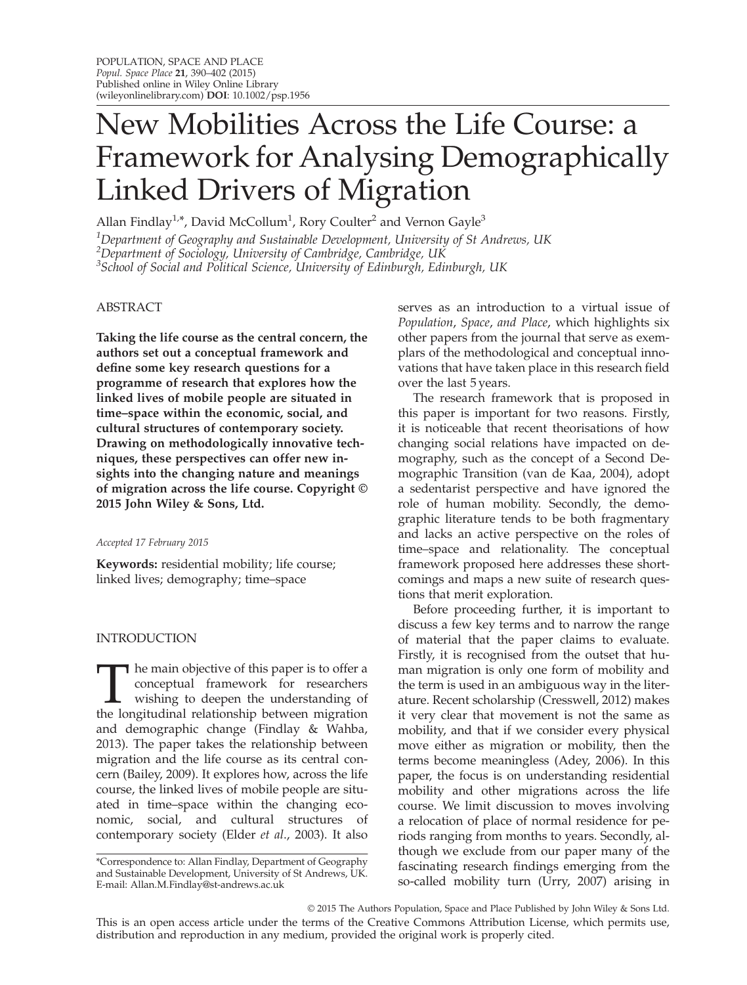# New Mobilities Across the Life Course: a Framework for Analysing Demographically Linked Drivers of Migration

Allan Findlay<sup>1,\*</sup>, David McCollum<sup>1</sup>, Rory Coulter<sup>2</sup> and Vernon Gayle<sup>3</sup>

 $^1$ Department of Geography and Sustainable Development, University of St Andrews, UK

<sup>2</sup>Department of Sociology, University of Cambridge, Cambridge, UK

 $^3$ School of Social and Political Science, University of Edinburgh, Edinburgh, UK

# ABSTRACT

Taking the life course as the central concern, the authors set out a conceptual framework and define some key research questions for a programme of research that explores how the linked lives of mobile people are situated in time–space within the economic, social, and cultural structures of contemporary society. Drawing on methodologically innovative techniques, these perspectives can offer new insights into the changing nature and meanings of migration across the life course. Copyright © 2015 John Wiley & Sons, Ltd.

## Accepted 17 February 2015

Keywords: residential mobility; life course; linked lives; demography; time–space

# INTRODUCTION

The main objective of this paper is to offer a conceptual framework for researchers wishing to deepen the understanding of the longitudinal relationship between migration conceptual framework for researchers wishing to deepen the understanding of and demographic change (Findlay & Wahba, 2013). The paper takes the relationship between migration and the life course as its central concern (Bailey, 2009). It explores how, across the life course, the linked lives of mobile people are situated in time–space within the changing economic, social, and cultural structures of contemporary society (Elder et al., 2003). It also serves as an introduction to a virtual issue of Population, Space, and Place, which highlights six other papers from the journal that serve as exemplars of the methodological and conceptual innovations that have taken place in this research field over the last 5 years.

The research framework that is proposed in this paper is important for two reasons. Firstly, it is noticeable that recent theorisations of how changing social relations have impacted on demography, such as the concept of a Second Demographic Transition (van de Kaa, 2004), adopt a sedentarist perspective and have ignored the role of human mobility. Secondly, the demographic literature tends to be both fragmentary and lacks an active perspective on the roles of time–space and relationality. The conceptual framework proposed here addresses these shortcomings and maps a new suite of research questions that merit exploration.

Before proceeding further, it is important to discuss a few key terms and to narrow the range of material that the paper claims to evaluate. Firstly, it is recognised from the outset that human migration is only one form of mobility and the term is used in an ambiguous way in the literature. Recent scholarship (Cresswell, 2012) makes it very clear that movement is not the same as mobility, and that if we consider every physical move either as migration or mobility, then the terms become meaningless (Adey, 2006). In this paper, the focus is on understanding residential mobility and other migrations across the life course. We limit discussion to moves involving a relocation of place of normal residence for periods ranging from months to years. Secondly, although we exclude from our paper many of the fascinating research findings emerging from the so-called mobility turn (Urry, 2007) arising in

© 2015 The Authors Population, Space and Place Published by John Wiley & Sons Ltd.

This is an open access article under the terms of the [Creative Commons Attribution](http://creativecommons.org/licenses/by/4.0/) License, which permits use, distribution and reproduction in any medium, provided the original work is properly cited.

<sup>\*</sup>Correspondence to: Allan Findlay, Department of Geography and Sustainable Development, University of St Andrews, UK. E-mail: Allan.M.Findlay@st-andrews.ac.uk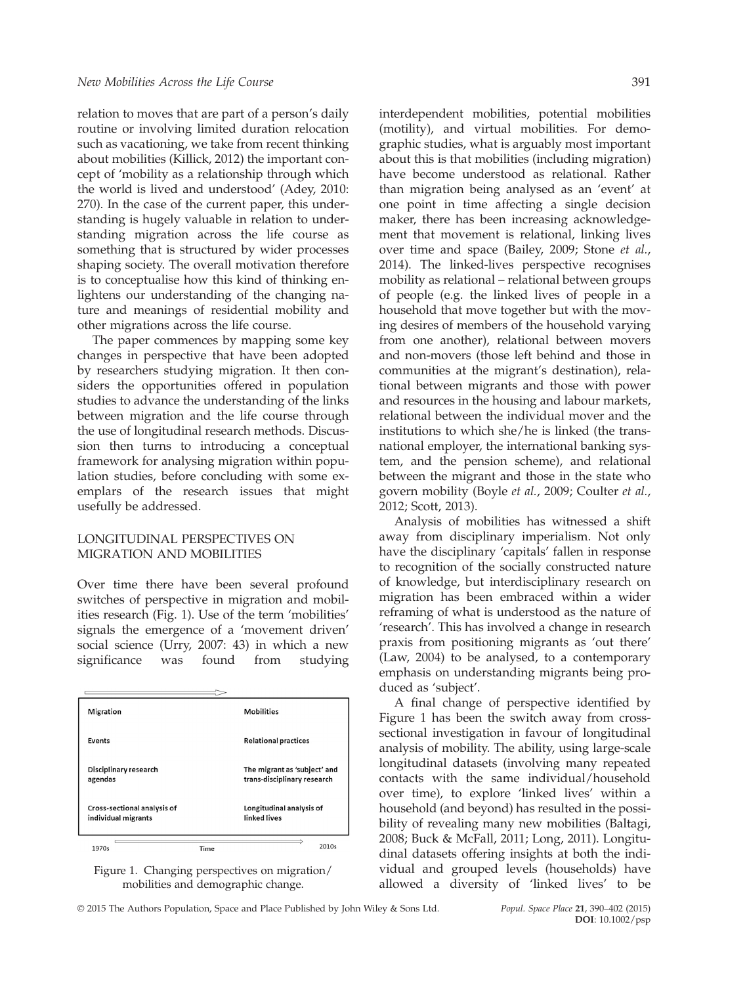relation to moves that are part of a person's daily routine or involving limited duration relocation such as vacationing, we take from recent thinking about mobilities (Killick, 2012) the important concept of 'mobility as a relationship through which the world is lived and understood' (Adey, 2010: 270). In the case of the current paper, this understanding is hugely valuable in relation to understanding migration across the life course as something that is structured by wider processes shaping society. The overall motivation therefore is to conceptualise how this kind of thinking enlightens our understanding of the changing nature and meanings of residential mobility and other migrations across the life course.

The paper commences by mapping some key changes in perspective that have been adopted by researchers studying migration. It then considers the opportunities offered in population studies to advance the understanding of the links between migration and the life course through the use of longitudinal research methods. Discussion then turns to introducing a conceptual framework for analysing migration within population studies, before concluding with some exemplars of the research issues that might usefully be addressed.

## LONGITUDINAL PERSPECTIVES ON MIGRATION AND MOBILITIES

Over time there have been several profound switches of perspective in migration and mobilities research (Fig. 1). Use of the term 'mobilities' signals the emergence of a 'movement driven' social science (Urry, 2007: 43) in which a new significance was found from studying

| Migration                                          |      | <b>Mobilities</b>                                           |
|----------------------------------------------------|------|-------------------------------------------------------------|
| Events                                             |      | <b>Relational practices</b>                                 |
| Disciplinary research<br>agendas                   |      | The migrant as 'subject' and<br>trans-disciplinary research |
| Cross-sectional analysis of<br>individual migrants |      | Longitudinal analysis of<br>linked lives                    |
| 1970s                                              | Time | 2010s                                                       |

Figure 1. Changing perspectives on migration/ mobilities and demographic change.

interdependent mobilities, potential mobilities (motility), and virtual mobilities. For demographic studies, what is arguably most important about this is that mobilities (including migration) have become understood as relational. Rather than migration being analysed as an 'event' at one point in time affecting a single decision maker, there has been increasing acknowledgement that movement is relational, linking lives over time and space (Bailey, 2009; Stone et al., 2014). The linked-lives perspective recognises mobility as relational – relational between groups of people (e.g. the linked lives of people in a household that move together but with the moving desires of members of the household varying from one another), relational between movers and non-movers (those left behind and those in communities at the migrant's destination), relational between migrants and those with power and resources in the housing and labour markets, relational between the individual mover and the institutions to which she/he is linked (the transnational employer, the international banking system, and the pension scheme), and relational between the migrant and those in the state who govern mobility (Boyle et al., 2009; Coulter et al., 2012; Scott, 2013).

Analysis of mobilities has witnessed a shift away from disciplinary imperialism. Not only have the disciplinary 'capitals' fallen in response to recognition of the socially constructed nature of knowledge, but interdisciplinary research on migration has been embraced within a wider reframing of what is understood as the nature of 'research'. This has involved a change in research praxis from positioning migrants as 'out there' (Law, 2004) to be analysed, to a contemporary emphasis on understanding migrants being produced as 'subject'.

A final change of perspective identified by Figure 1 has been the switch away from crosssectional investigation in favour of longitudinal analysis of mobility. The ability, using large-scale longitudinal datasets (involving many repeated contacts with the same individual/household over time), to explore 'linked lives' within a household (and beyond) has resulted in the possibility of revealing many new mobilities (Baltagi, 2008; Buck & McFall, 2011; Long, 2011). Longitudinal datasets offering insights at both the individual and grouped levels (households) have allowed a diversity of 'linked lives' to be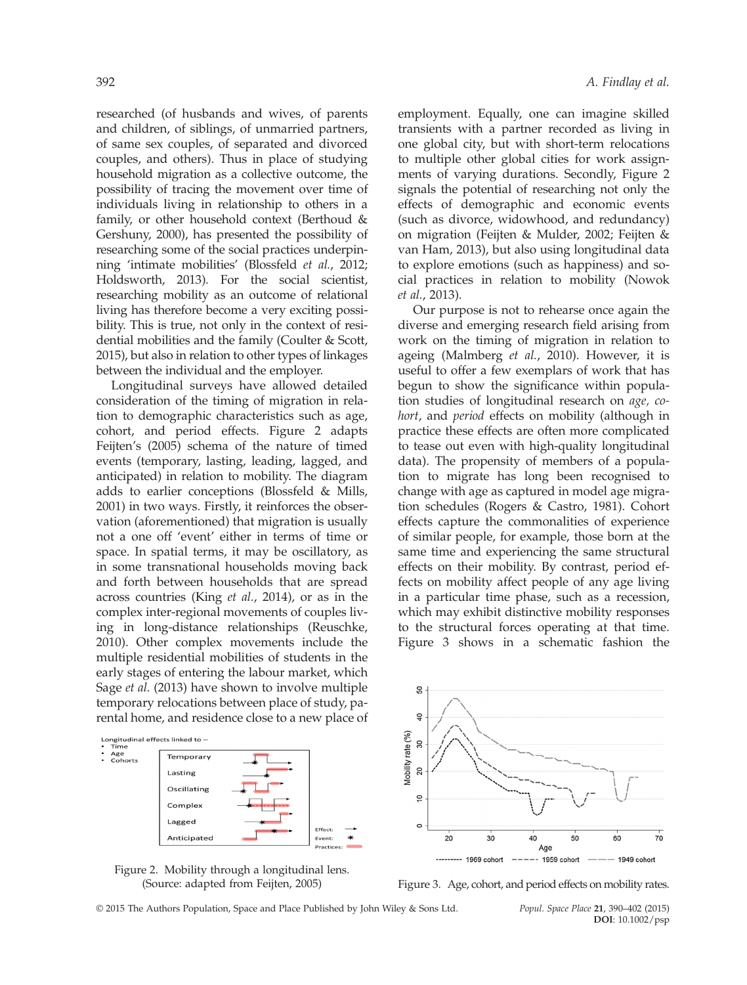researched (of husbands and wives, of parents and children, of siblings, of unmarried partners, of same sex couples, of separated and divorced couples, and others). Thus in place of studying household migration as a collective outcome, the possibility of tracing the movement over time of individuals living in relationship to others in a family, or other household context (Berthoud & Gershuny, 2000), has presented the possibility of researching some of the social practices underpinning 'intimate mobilities' (Blossfeld et al., 2012; Holdsworth, 2013). For the social scientist, researching mobility as an outcome of relational living has therefore become a very exciting possibility. This is true, not only in the context of residential mobilities and the family (Coulter & Scott, 2015), but also in relation to other types of linkages between the individual and the employer.

Longitudinal surveys have allowed detailed consideration of the timing of migration in relation to demographic characteristics such as age, cohort, and period effects. Figure 2 adapts Feijten's (2005) schema of the nature of timed events (temporary, lasting, leading, lagged, and anticipated) in relation to mobility. The diagram adds to earlier conceptions (Blossfeld & Mills, 2001) in two ways. Firstly, it reinforces the observation (aforementioned) that migration is usually not a one off 'event' either in terms of time or space. In spatial terms, it may be oscillatory, as in some transnational households moving back and forth between households that are spread across countries (King et al., 2014), or as in the complex inter-regional movements of couples living in long-distance relationships (Reuschke, 2010). Other complex movements include the multiple residential mobilities of students in the early stages of entering the labour market, which Sage et al. (2013) have shown to involve multiple temporary relocations between place of study, parental home, and residence close to a new place of





Figure 2. Mobility through a longitudinal lens.

© 2015 The Authors Population, Space and Place Published by John Wiley & Sons Ltd. Popul. Space Place 21, 390–402 (2015)

employment. Equally, one can imagine skilled transients with a partner recorded as living in one global city, but with short-term relocations to multiple other global cities for work assignments of varying durations. Secondly, Figure 2 signals the potential of researching not only the effects of demographic and economic events (such as divorce, widowhood, and redundancy) on migration (Feijten & Mulder, 2002; Feijten & van Ham, 2013), but also using longitudinal data to explore emotions (such as happiness) and social practices in relation to mobility (Nowok et al., 2013).

Our purpose is not to rehearse once again the diverse and emerging research field arising from work on the timing of migration in relation to ageing (Malmberg et al., 2010). However, it is useful to offer a few exemplars of work that has begun to show the significance within population studies of longitudinal research on age, cohort, and period effects on mobility (although in practice these effects are often more complicated to tease out even with high-quality longitudinal data). The propensity of members of a population to migrate has long been recognised to change with age as captured in model age migration schedules (Rogers & Castro, 1981). Cohort effects capture the commonalities of experience of similar people, for example, those born at the same time and experiencing the same structural effects on their mobility. By contrast, period effects on mobility affect people of any age living in a particular time phase, such as a recession, which may exhibit distinctive mobility responses to the structural forces operating at that time. Figure 3 shows in a schematic fashion the



(Source: adapted from Feijten, 2005) Figure 3. Age, cohort, and period effects on mobility rates.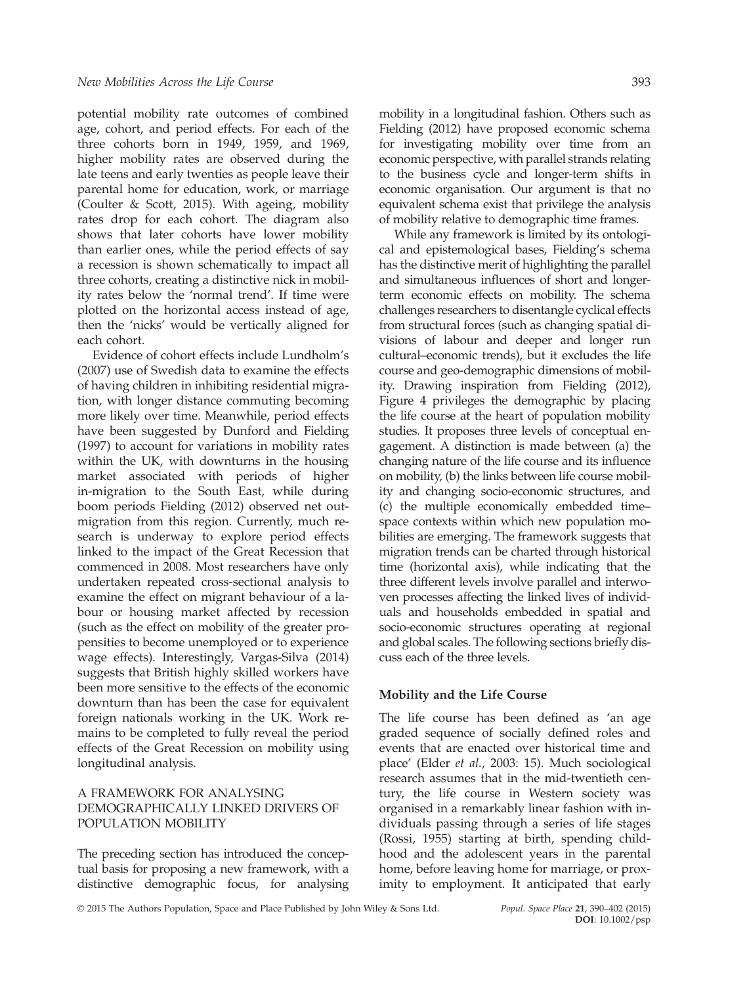potential mobility rate outcomes of combined age, cohort, and period effects. For each of the three cohorts born in 1949, 1959, and 1969, higher mobility rates are observed during the late teens and early twenties as people leave their parental home for education, work, or marriage (Coulter & Scott, 2015). With ageing, mobility rates drop for each cohort. The diagram also shows that later cohorts have lower mobility than earlier ones, while the period effects of say a recession is shown schematically to impact all three cohorts, creating a distinctive nick in mobility rates below the 'normal trend'. If time were plotted on the horizontal access instead of age, then the 'nicks' would be vertically aligned for each cohort.

Evidence of cohort effects include Lundholm's (2007) use of Swedish data to examine the effects of having children in inhibiting residential migration, with longer distance commuting becoming more likely over time. Meanwhile, period effects have been suggested by Dunford and Fielding (1997) to account for variations in mobility rates within the UK, with downturns in the housing market associated with periods of higher in-migration to the South East, while during boom periods Fielding (2012) observed net outmigration from this region. Currently, much research is underway to explore period effects linked to the impact of the Great Recession that commenced in 2008. Most researchers have only undertaken repeated cross-sectional analysis to examine the effect on migrant behaviour of a labour or housing market affected by recession (such as the effect on mobility of the greater propensities to become unemployed or to experience wage effects). Interestingly, Vargas-Silva (2014) suggests that British highly skilled workers have been more sensitive to the effects of the economic downturn than has been the case for equivalent foreign nationals working in the UK. Work remains to be completed to fully reveal the period effects of the Great Recession on mobility using longitudinal analysis.

# A FRAMEWORK FOR ANALYSING DEMOGRAPHICALLY LINKED DRIVERS OF POPULATION MOBILITY

The preceding section has introduced the conceptual basis for proposing a new framework, with a distinctive demographic focus, for analysing mobility in a longitudinal fashion. Others such as Fielding (2012) have proposed economic schema for investigating mobility over time from an economic perspective, with parallel strands relating to the business cycle and longer-term shifts in economic organisation. Our argument is that no equivalent schema exist that privilege the analysis of mobility relative to demographic time frames.

While any framework is limited by its ontological and epistemological bases, Fielding's schema has the distinctive merit of highlighting the parallel and simultaneous influences of short and longerterm economic effects on mobility. The schema challenges researchers to disentangle cyclical effects from structural forces (such as changing spatial divisions of labour and deeper and longer run cultural–economic trends), but it excludes the life course and geo-demographic dimensions of mobility. Drawing inspiration from Fielding (2012), Figure 4 privileges the demographic by placing the life course at the heart of population mobility studies. It proposes three levels of conceptual engagement. A distinction is made between (a) the changing nature of the life course and its influence on mobility, (b) the links between life course mobility and changing socio-economic structures, and (c) the multiple economically embedded time– space contexts within which new population mobilities are emerging. The framework suggests that migration trends can be charted through historical time (horizontal axis), while indicating that the three different levels involve parallel and interwoven processes affecting the linked lives of individuals and households embedded in spatial and socio-economic structures operating at regional and global scales. The following sections briefly discuss each of the three levels.

#### Mobility and the Life Course

The life course has been defined as 'an age graded sequence of socially defined roles and events that are enacted over historical time and place' (Elder et al., 2003: 15). Much sociological research assumes that in the mid-twentieth century, the life course in Western society was organised in a remarkably linear fashion with individuals passing through a series of life stages (Rossi, 1955) starting at birth, spending childhood and the adolescent years in the parental home, before leaving home for marriage, or proximity to employment. It anticipated that early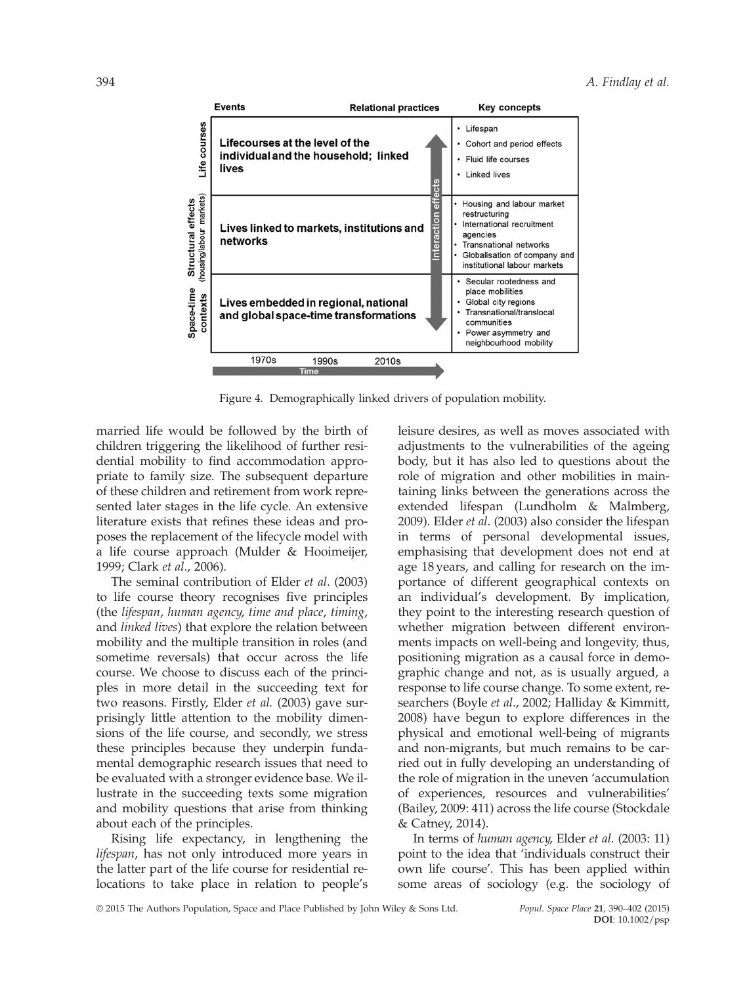

Figure 4. Demographically linked drivers of population mobility.

married life would be followed by the birth of children triggering the likelihood of further residential mobility to find accommodation appropriate to family size. The subsequent departure of these children and retirement from work represented later stages in the life cycle. An extensive literature exists that refines these ideas and proposes the replacement of the lifecycle model with a life course approach (Mulder & Hooimeijer, 1999; Clark et al., 2006).

The seminal contribution of Elder et al. (2003) to life course theory recognises five principles (the lifespan, human agency, time and place, timing, and linked lives) that explore the relation between mobility and the multiple transition in roles (and sometime reversals) that occur across the life course. We choose to discuss each of the principles in more detail in the succeeding text for two reasons. Firstly, Elder et al. (2003) gave surprisingly little attention to the mobility dimensions of the life course, and secondly, we stress these principles because they underpin fundamental demographic research issues that need to be evaluated with a stronger evidence base. We illustrate in the succeeding texts some migration and mobility questions that arise from thinking about each of the principles.

Rising life expectancy, in lengthening the lifespan, has not only introduced more years in the latter part of the life course for residential relocations to take place in relation to people's

leisure desires, as well as moves associated with adjustments to the vulnerabilities of the ageing body, but it has also led to questions about the role of migration and other mobilities in maintaining links between the generations across the extended lifespan (Lundholm & Malmberg, 2009). Elder et al. (2003) also consider the lifespan in terms of personal developmental issues, emphasising that development does not end at age 18 years, and calling for research on the importance of different geographical contexts on an individual's development. By implication, they point to the interesting research question of whether migration between different environments impacts on well-being and longevity, thus, positioning migration as a causal force in demographic change and not, as is usually argued, a response to life course change. To some extent, researchers (Boyle et al., 2002; Halliday & Kimmitt, 2008) have begun to explore differences in the physical and emotional well-being of migrants and non-migrants, but much remains to be carried out in fully developing an understanding of the role of migration in the uneven 'accumulation of experiences, resources and vulnerabilities' (Bailey, 2009: 411) across the life course (Stockdale & Catney, 2014).

In terms of human agency, Elder et al. (2003: 11) point to the idea that 'individuals construct their own life course'. This has been applied within some areas of sociology (e.g. the sociology of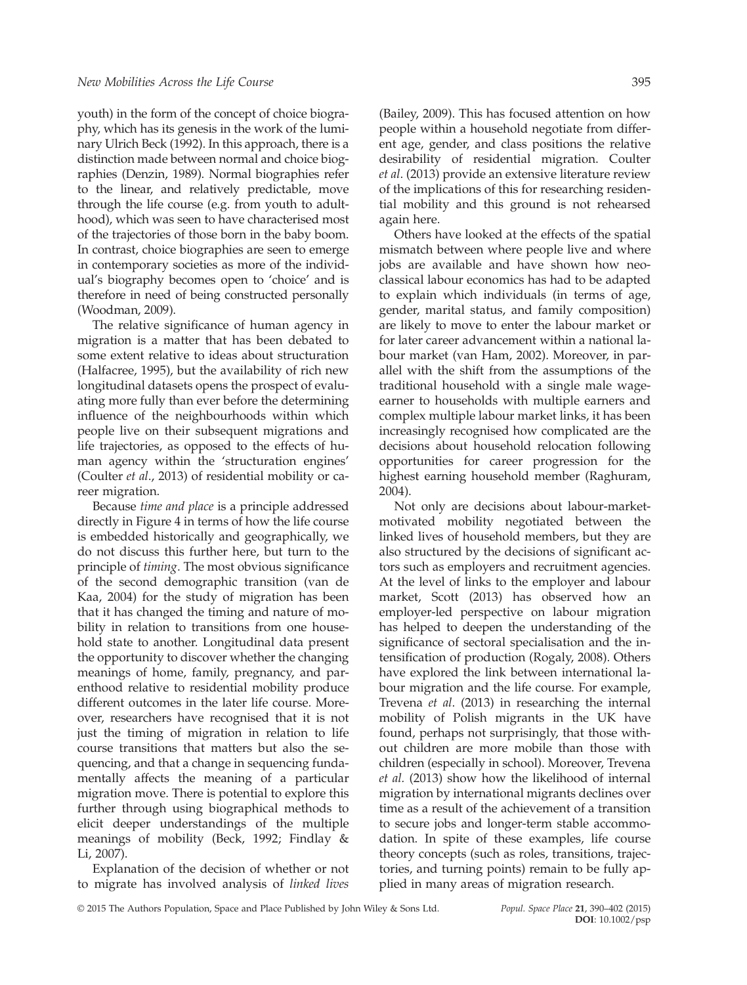youth) in the form of the concept of choice biography, which has its genesis in the work of the luminary Ulrich Beck (1992). In this approach, there is a distinction made between normal and choice biographies (Denzin, 1989). Normal biographies refer to the linear, and relatively predictable, move through the life course (e.g. from youth to adulthood), which was seen to have characterised most of the trajectories of those born in the baby boom. In contrast, choice biographies are seen to emerge in contemporary societies as more of the individual's biography becomes open to 'choice' and is therefore in need of being constructed personally (Woodman, 2009).

The relative significance of human agency in migration is a matter that has been debated to some extent relative to ideas about structuration (Halfacree, 1995), but the availability of rich new longitudinal datasets opens the prospect of evaluating more fully than ever before the determining influence of the neighbourhoods within which people live on their subsequent migrations and life trajectories, as opposed to the effects of human agency within the 'structuration engines' (Coulter et al., 2013) of residential mobility or career migration.

Because time and place is a principle addressed directly in Figure 4 in terms of how the life course is embedded historically and geographically, we do not discuss this further here, but turn to the principle of timing. The most obvious significance of the second demographic transition (van de Kaa, 2004) for the study of migration has been that it has changed the timing and nature of mobility in relation to transitions from one household state to another. Longitudinal data present the opportunity to discover whether the changing meanings of home, family, pregnancy, and parenthood relative to residential mobility produce different outcomes in the later life course. Moreover, researchers have recognised that it is not just the timing of migration in relation to life course transitions that matters but also the sequencing, and that a change in sequencing fundamentally affects the meaning of a particular migration move. There is potential to explore this further through using biographical methods to elicit deeper understandings of the multiple meanings of mobility (Beck, 1992; Findlay & Li, 2007).

Explanation of the decision of whether or not to migrate has involved analysis of linked lives

(Bailey, 2009). This has focused attention on how people within a household negotiate from different age, gender, and class positions the relative desirability of residential migration. Coulter et al. (2013) provide an extensive literature review of the implications of this for researching residential mobility and this ground is not rehearsed again here.

Others have looked at the effects of the spatial mismatch between where people live and where jobs are available and have shown how neoclassical labour economics has had to be adapted to explain which individuals (in terms of age, gender, marital status, and family composition) are likely to move to enter the labour market or for later career advancement within a national labour market (van Ham, 2002). Moreover, in parallel with the shift from the assumptions of the traditional household with a single male wageearner to households with multiple earners and complex multiple labour market links, it has been increasingly recognised how complicated are the decisions about household relocation following opportunities for career progression for the highest earning household member (Raghuram, 2004).

Not only are decisions about labour-marketmotivated mobility negotiated between the linked lives of household members, but they are also structured by the decisions of significant actors such as employers and recruitment agencies. At the level of links to the employer and labour market, Scott (2013) has observed how an employer-led perspective on labour migration has helped to deepen the understanding of the significance of sectoral specialisation and the intensification of production (Rogaly, 2008). Others have explored the link between international labour migration and the life course. For example, Trevena et al. (2013) in researching the internal mobility of Polish migrants in the UK have found, perhaps not surprisingly, that those without children are more mobile than those with children (especially in school). Moreover, Trevena et al. (2013) show how the likelihood of internal migration by international migrants declines over time as a result of the achievement of a transition to secure jobs and longer-term stable accommodation. In spite of these examples, life course theory concepts (such as roles, transitions, trajectories, and turning points) remain to be fully applied in many areas of migration research.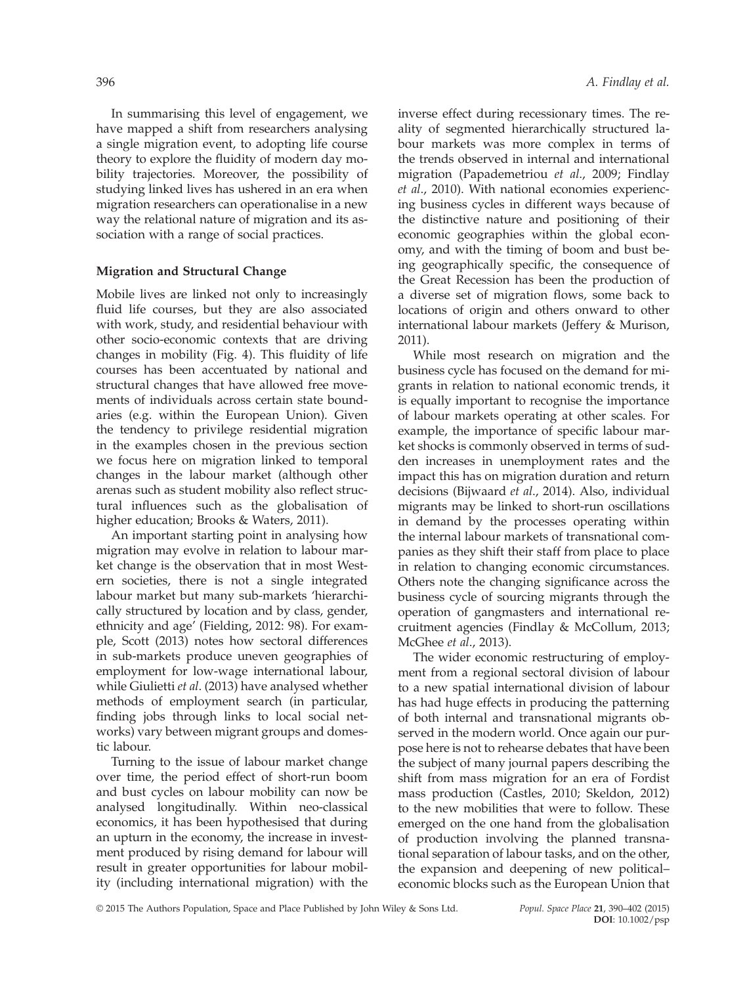In summarising this level of engagement, we have mapped a shift from researchers analysing a single migration event, to adopting life course theory to explore the fluidity of modern day mobility trajectories. Moreover, the possibility of studying linked lives has ushered in an era when migration researchers can operationalise in a new way the relational nature of migration and its association with a range of social practices.

## Migration and Structural Change

Mobile lives are linked not only to increasingly fluid life courses, but they are also associated with work, study, and residential behaviour with other socio-economic contexts that are driving changes in mobility (Fig. 4). This fluidity of life courses has been accentuated by national and structural changes that have allowed free movements of individuals across certain state boundaries (e.g. within the European Union). Given the tendency to privilege residential migration in the examples chosen in the previous section we focus here on migration linked to temporal changes in the labour market (although other arenas such as student mobility also reflect structural influences such as the globalisation of higher education; Brooks & Waters, 2011).

An important starting point in analysing how migration may evolve in relation to labour market change is the observation that in most Western societies, there is not a single integrated labour market but many sub-markets 'hierarchically structured by location and by class, gender, ethnicity and age' (Fielding, 2012: 98). For example, Scott (2013) notes how sectoral differences in sub-markets produce uneven geographies of employment for low-wage international labour, while Giulietti et al. (2013) have analysed whether methods of employment search (in particular, finding jobs through links to local social networks) vary between migrant groups and domestic labour.

Turning to the issue of labour market change over time, the period effect of short-run boom and bust cycles on labour mobility can now be analysed longitudinally. Within neo-classical economics, it has been hypothesised that during an upturn in the economy, the increase in investment produced by rising demand for labour will result in greater opportunities for labour mobility (including international migration) with the

inverse effect during recessionary times. The reality of segmented hierarchically structured labour markets was more complex in terms of the trends observed in internal and international migration (Papademetriou et al., 2009; Findlay et al., 2010). With national economies experiencing business cycles in different ways because of the distinctive nature and positioning of their economic geographies within the global economy, and with the timing of boom and bust being geographically specific, the consequence of the Great Recession has been the production of a diverse set of migration flows, some back to locations of origin and others onward to other international labour markets (Jeffery & Murison, 2011).

While most research on migration and the business cycle has focused on the demand for migrants in relation to national economic trends, it is equally important to recognise the importance of labour markets operating at other scales. For example, the importance of specific labour market shocks is commonly observed in terms of sudden increases in unemployment rates and the impact this has on migration duration and return decisions (Bijwaard et al., 2014). Also, individual migrants may be linked to short-run oscillations in demand by the processes operating within the internal labour markets of transnational companies as they shift their staff from place to place in relation to changing economic circumstances. Others note the changing significance across the business cycle of sourcing migrants through the operation of gangmasters and international recruitment agencies (Findlay & McCollum, 2013; McGhee et al., 2013).

The wider economic restructuring of employment from a regional sectoral division of labour to a new spatial international division of labour has had huge effects in producing the patterning of both internal and transnational migrants observed in the modern world. Once again our purpose here is not to rehearse debates that have been the subject of many journal papers describing the shift from mass migration for an era of Fordist mass production (Castles, 2010; Skeldon, 2012) to the new mobilities that were to follow. These emerged on the one hand from the globalisation of production involving the planned transnational separation of labour tasks, and on the other, the expansion and deepening of new political– economic blocks such as the European Union that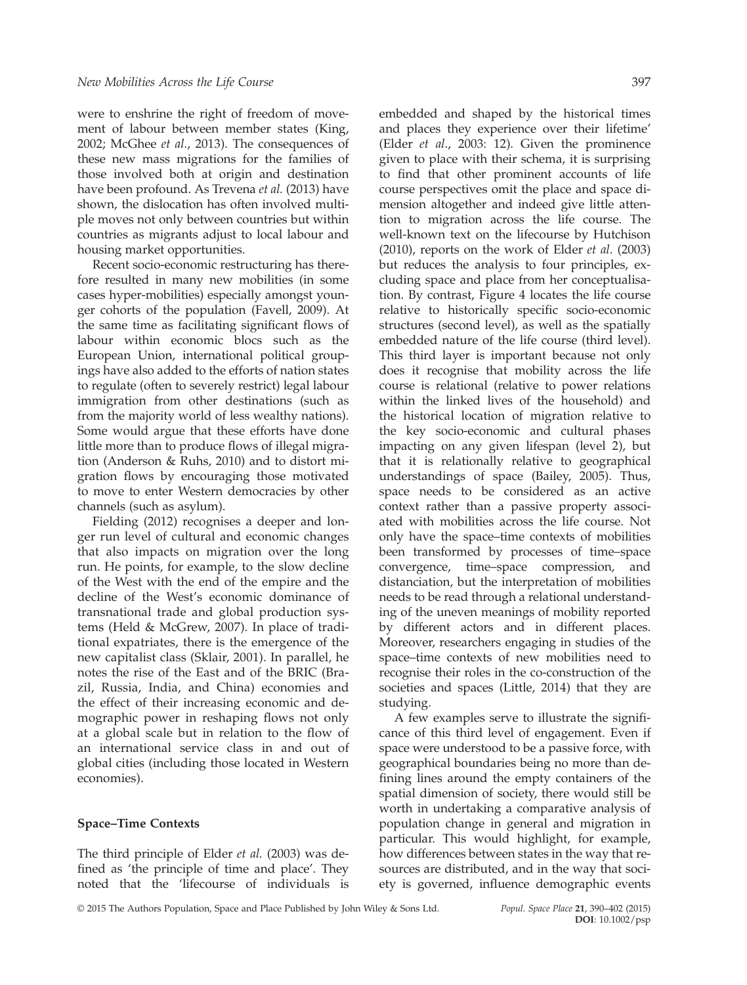were to enshrine the right of freedom of movement of labour between member states (King, 2002; McGhee et al., 2013). The consequences of these new mass migrations for the families of those involved both at origin and destination have been profound. As Trevena et al. (2013) have shown, the dislocation has often involved multiple moves not only between countries but within countries as migrants adjust to local labour and housing market opportunities.

Recent socio-economic restructuring has therefore resulted in many new mobilities (in some cases hyper-mobilities) especially amongst younger cohorts of the population (Favell, 2009). At the same time as facilitating significant flows of labour within economic blocs such as the European Union, international political groupings have also added to the efforts of nation states to regulate (often to severely restrict) legal labour immigration from other destinations (such as from the majority world of less wealthy nations). Some would argue that these efforts have done little more than to produce flows of illegal migration (Anderson & Ruhs, 2010) and to distort migration flows by encouraging those motivated to move to enter Western democracies by other channels (such as asylum).

Fielding (2012) recognises a deeper and longer run level of cultural and economic changes that also impacts on migration over the long run. He points, for example, to the slow decline of the West with the end of the empire and the decline of the West's economic dominance of transnational trade and global production systems (Held & McGrew, 2007). In place of traditional expatriates, there is the emergence of the new capitalist class (Sklair, 2001). In parallel, he notes the rise of the East and of the BRIC (Brazil, Russia, India, and China) economies and the effect of their increasing economic and demographic power in reshaping flows not only at a global scale but in relation to the flow of an international service class in and out of global cities (including those located in Western economies).

### Space–Time Contexts

The third principle of Elder et al. (2003) was defined as 'the principle of time and place'. They noted that the 'lifecourse of individuals is

embedded and shaped by the historical times and places they experience over their lifetime' (Elder et al., 2003: 12). Given the prominence given to place with their schema, it is surprising to find that other prominent accounts of life course perspectives omit the place and space dimension altogether and indeed give little attention to migration across the life course. The well-known text on the lifecourse by Hutchison (2010), reports on the work of Elder et al. (2003) but reduces the analysis to four principles, excluding space and place from her conceptualisation. By contrast, Figure 4 locates the life course relative to historically specific socio-economic structures (second level), as well as the spatially embedded nature of the life course (third level). This third layer is important because not only does it recognise that mobility across the life course is relational (relative to power relations within the linked lives of the household) and the historical location of migration relative to the key socio-economic and cultural phases impacting on any given lifespan (level 2), but that it is relationally relative to geographical understandings of space (Bailey, 2005). Thus, space needs to be considered as an active context rather than a passive property associated with mobilities across the life course. Not only have the space–time contexts of mobilities been transformed by processes of time–space convergence, time–space compression, and distanciation, but the interpretation of mobilities needs to be read through a relational understanding of the uneven meanings of mobility reported by different actors and in different places. Moreover, researchers engaging in studies of the space–time contexts of new mobilities need to recognise their roles in the co-construction of the societies and spaces (Little, 2014) that they are studying.

A few examples serve to illustrate the significance of this third level of engagement. Even if space were understood to be a passive force, with geographical boundaries being no more than defining lines around the empty containers of the spatial dimension of society, there would still be worth in undertaking a comparative analysis of population change in general and migration in particular. This would highlight, for example, how differences between states in the way that resources are distributed, and in the way that society is governed, influence demographic events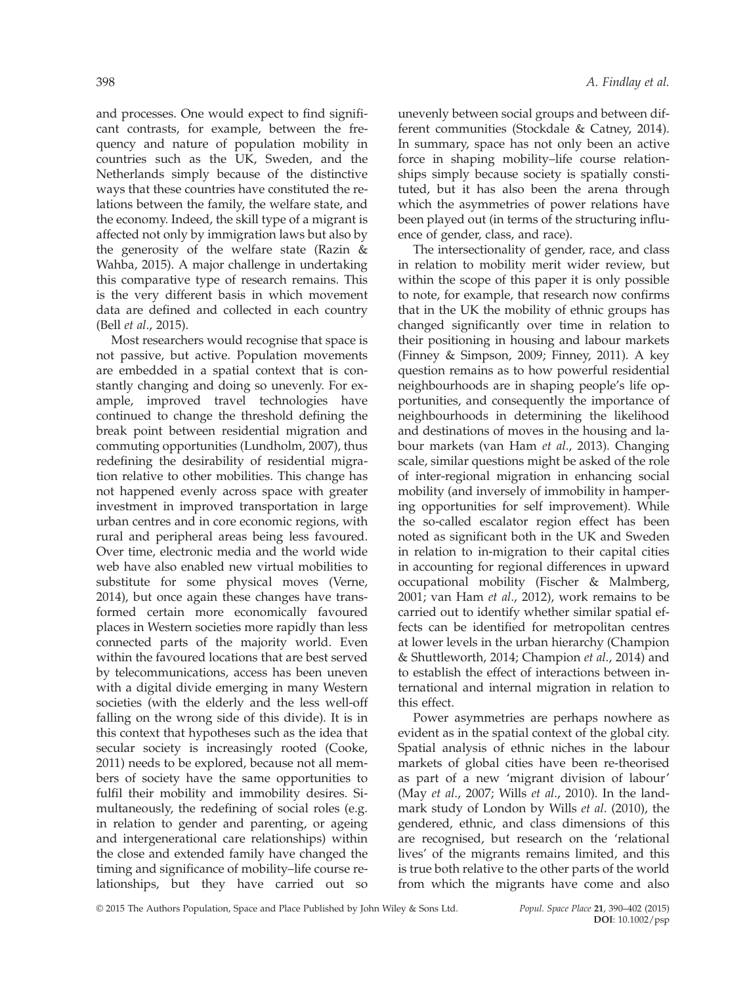and processes. One would expect to find significant contrasts, for example, between the frequency and nature of population mobility in countries such as the UK, Sweden, and the Netherlands simply because of the distinctive ways that these countries have constituted the relations between the family, the welfare state, and the economy. Indeed, the skill type of a migrant is affected not only by immigration laws but also by the generosity of the welfare state (Razin & Wahba, 2015). A major challenge in undertaking this comparative type of research remains. This is the very different basis in which movement data are defined and collected in each country (Bell et al., 2015).

Most researchers would recognise that space is not passive, but active. Population movements are embedded in a spatial context that is constantly changing and doing so unevenly. For example, improved travel technologies have continued to change the threshold defining the break point between residential migration and commuting opportunities (Lundholm, 2007), thus redefining the desirability of residential migration relative to other mobilities. This change has not happened evenly across space with greater investment in improved transportation in large urban centres and in core economic regions, with rural and peripheral areas being less favoured. Over time, electronic media and the world wide web have also enabled new virtual mobilities to substitute for some physical moves (Verne, 2014), but once again these changes have transformed certain more economically favoured places in Western societies more rapidly than less connected parts of the majority world. Even within the favoured locations that are best served by telecommunications, access has been uneven with a digital divide emerging in many Western societies (with the elderly and the less well-off falling on the wrong side of this divide). It is in this context that hypotheses such as the idea that secular society is increasingly rooted (Cooke, 2011) needs to be explored, because not all members of society have the same opportunities to fulfil their mobility and immobility desires. Simultaneously, the redefining of social roles (e.g. in relation to gender and parenting, or ageing and intergenerational care relationships) within the close and extended family have changed the timing and significance of mobility–life course relationships, but they have carried out so

unevenly between social groups and between different communities (Stockdale & Catney, 2014). In summary, space has not only been an active force in shaping mobility–life course relationships simply because society is spatially constituted, but it has also been the arena through which the asymmetries of power relations have been played out (in terms of the structuring influence of gender, class, and race).

The intersectionality of gender, race, and class in relation to mobility merit wider review, but within the scope of this paper it is only possible to note, for example, that research now confirms that in the UK the mobility of ethnic groups has changed significantly over time in relation to their positioning in housing and labour markets (Finney & Simpson, 2009; Finney, 2011). A key question remains as to how powerful residential neighbourhoods are in shaping people's life opportunities, and consequently the importance of neighbourhoods in determining the likelihood and destinations of moves in the housing and labour markets (van Ham et al., 2013). Changing scale, similar questions might be asked of the role of inter-regional migration in enhancing social mobility (and inversely of immobility in hampering opportunities for self improvement). While the so-called escalator region effect has been noted as significant both in the UK and Sweden in relation to in-migration to their capital cities in accounting for regional differences in upward occupational mobility (Fischer & Malmberg, 2001; van Ham et al., 2012), work remains to be carried out to identify whether similar spatial effects can be identified for metropolitan centres at lower levels in the urban hierarchy (Champion & Shuttleworth, 2014; Champion et al., 2014) and to establish the effect of interactions between international and internal migration in relation to this effect.

Power asymmetries are perhaps nowhere as evident as in the spatial context of the global city. Spatial analysis of ethnic niches in the labour markets of global cities have been re-theorised as part of a new 'migrant division of labour' (May *et al., 2007; Wills et al., 2010)*. In the landmark study of London by Wills et al. (2010), the gendered, ethnic, and class dimensions of this are recognised, but research on the 'relational lives' of the migrants remains limited, and this is true both relative to the other parts of the world from which the migrants have come and also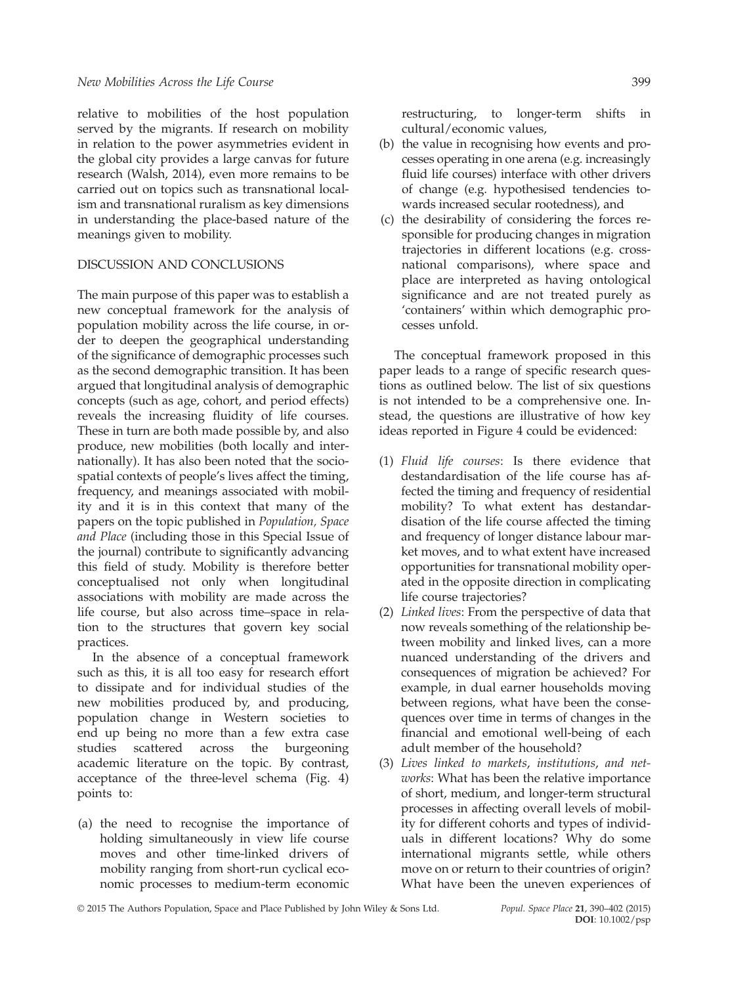relative to mobilities of the host population served by the migrants. If research on mobility in relation to the power asymmetries evident in the global city provides a large canvas for future research (Walsh, 2014), even more remains to be carried out on topics such as transnational localism and transnational ruralism as key dimensions in understanding the place-based nature of the meanings given to mobility.

## DISCUSSION AND CONCLUSIONS

The main purpose of this paper was to establish a new conceptual framework for the analysis of population mobility across the life course, in order to deepen the geographical understanding of the significance of demographic processes such as the second demographic transition. It has been argued that longitudinal analysis of demographic concepts (such as age, cohort, and period effects) reveals the increasing fluidity of life courses. These in turn are both made possible by, and also produce, new mobilities (both locally and internationally). It has also been noted that the sociospatial contexts of people's lives affect the timing, frequency, and meanings associated with mobility and it is in this context that many of the papers on the topic published in Population, Space and Place (including those in this Special Issue of the journal) contribute to significantly advancing this field of study. Mobility is therefore better conceptualised not only when longitudinal associations with mobility are made across the life course, but also across time–space in relation to the structures that govern key social practices.

In the absence of a conceptual framework such as this, it is all too easy for research effort to dissipate and for individual studies of the new mobilities produced by, and producing, population change in Western societies to end up being no more than a few extra case studies scattered across the burgeoning academic literature on the topic. By contrast, acceptance of the three-level schema (Fig. 4) points to:

(a) the need to recognise the importance of holding simultaneously in view life course moves and other time-linked drivers of mobility ranging from short-run cyclical economic processes to medium-term economic

restructuring, to longer-term shifts in cultural/economic values,

- (b) the value in recognising how events and processes operating in one arena (e.g. increasingly fluid life courses) interface with other drivers of change (e.g. hypothesised tendencies towards increased secular rootedness), and
- (c) the desirability of considering the forces responsible for producing changes in migration trajectories in different locations (e.g. crossnational comparisons), where space and place are interpreted as having ontological significance and are not treated purely as 'containers' within which demographic processes unfold.

The conceptual framework proposed in this paper leads to a range of specific research questions as outlined below. The list of six questions is not intended to be a comprehensive one. Instead, the questions are illustrative of how key ideas reported in Figure 4 could be evidenced:

- (1) Fluid life courses: Is there evidence that destandardisation of the life course has affected the timing and frequency of residential mobility? To what extent has destandardisation of the life course affected the timing and frequency of longer distance labour market moves, and to what extent have increased opportunities for transnational mobility operated in the opposite direction in complicating life course trajectories?
- (2) Linked lives: From the perspective of data that now reveals something of the relationship between mobility and linked lives, can a more nuanced understanding of the drivers and consequences of migration be achieved? For example, in dual earner households moving between regions, what have been the consequences over time in terms of changes in the financial and emotional well-being of each adult member of the household?
- (3) Lives linked to markets, institutions, and networks: What has been the relative importance of short, medium, and longer-term structural processes in affecting overall levels of mobility for different cohorts and types of individuals in different locations? Why do some international migrants settle, while others move on or return to their countries of origin? What have been the uneven experiences of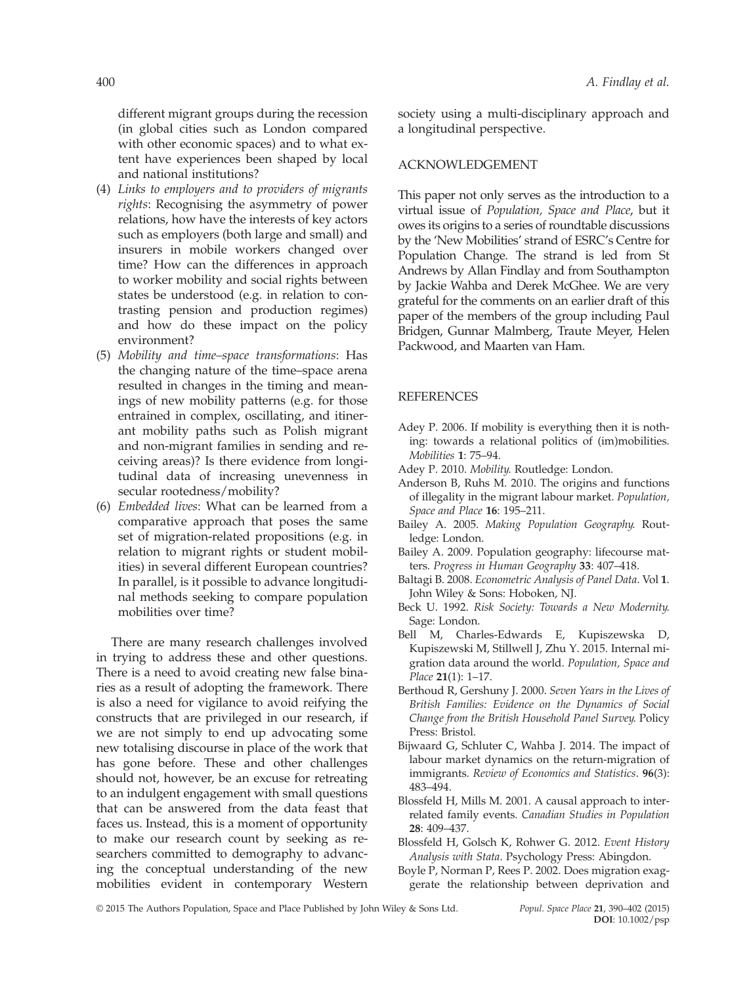different migrant groups during the recession (in global cities such as London compared with other economic spaces) and to what extent have experiences been shaped by local and national institutions?

- (4) Links to employers and to providers of migrants rights: Recognising the asymmetry of power relations, how have the interests of key actors such as employers (both large and small) and insurers in mobile workers changed over time? How can the differences in approach to worker mobility and social rights between states be understood (e.g. in relation to contrasting pension and production regimes) and how do these impact on the policy environment?
- (5) Mobility and time–space transformations: Has the changing nature of the time–space arena resulted in changes in the timing and meanings of new mobility patterns (e.g. for those entrained in complex, oscillating, and itinerant mobility paths such as Polish migrant and non-migrant families in sending and receiving areas)? Is there evidence from longitudinal data of increasing unevenness in secular rootedness/mobility?
- (6) Embedded lives: What can be learned from a comparative approach that poses the same set of migration-related propositions (e.g. in relation to migrant rights or student mobilities) in several different European countries? In parallel, is it possible to advance longitudinal methods seeking to compare population mobilities over time?

There are many research challenges involved in trying to address these and other questions. There is a need to avoid creating new false binaries as a result of adopting the framework. There is also a need for vigilance to avoid reifying the constructs that are privileged in our research, if we are not simply to end up advocating some new totalising discourse in place of the work that has gone before. These and other challenges should not, however, be an excuse for retreating to an indulgent engagement with small questions that can be answered from the data feast that faces us. Instead, this is a moment of opportunity to make our research count by seeking as researchers committed to demography to advancing the conceptual understanding of the new mobilities evident in contemporary Western

society using a multi-disciplinary approach and a longitudinal perspective.

## ACKNOWLEDGEMENT

This paper not only serves as the introduction to a virtual issue of Population, Space and Place, but it owes its origins to a series of roundtable discussions by the 'New Mobilities' strand of ESRC's Centre for Population Change. The strand is led from St Andrews by Allan Findlay and from Southampton by Jackie Wahba and Derek McGhee. We are very grateful for the comments on an earlier draft of this paper of the members of the group including Paul Bridgen, Gunnar Malmberg, Traute Meyer, Helen Packwood, and Maarten van Ham.

#### REFERENCES

- Adey P. 2006. If mobility is everything then it is nothing: towards a relational politics of (im)mobilities. Mobilities 1: 75–94.
- Adey P. 2010. Mobility. Routledge: London.
- Anderson B, Ruhs M. 2010. The origins and functions of illegality in the migrant labour market. Population, Space and Place 16: 195-211.
- Bailey A. 2005. Making Population Geography. Routledge: London.
- Bailey A. 2009. Population geography: lifecourse matters. Progress in Human Geography 33: 407–418.
- Baltagi B. 2008. Econometric Analysis of Panel Data. Vol 1. John Wiley & Sons: Hoboken, NJ.
- Beck U. 1992. Risk Society: Towards a New Modernity. Sage: London.
- Bell M, Charles-Edwards E, Kupiszewska D, Kupiszewski M, Stillwell J, Zhu Y. 2015. Internal migration data around the world. Population, Space and Place 21(1): 1–17.
- Berthoud R, Gershuny J. 2000. Seven Years in the Lives of British Families: Evidence on the Dynamics of Social Change from the British Household Panel Survey. Policy Press: Bristol.
- Bijwaard G, Schluter C, Wahba J. 2014. The impact of labour market dynamics on the return-migration of immigrants. Review of Economics and Statistics. 96(3): 483–494.
- Blossfeld H, Mills M. 2001. A causal approach to interrelated family events. Canadian Studies in Population 28: 409–437.
- Blossfeld H, Golsch K, Rohwer G. 2012. Event History Analysis with Stata. Psychology Press: Abingdon.
- Boyle P, Norman P, Rees P. 2002. Does migration exaggerate the relationship between deprivation and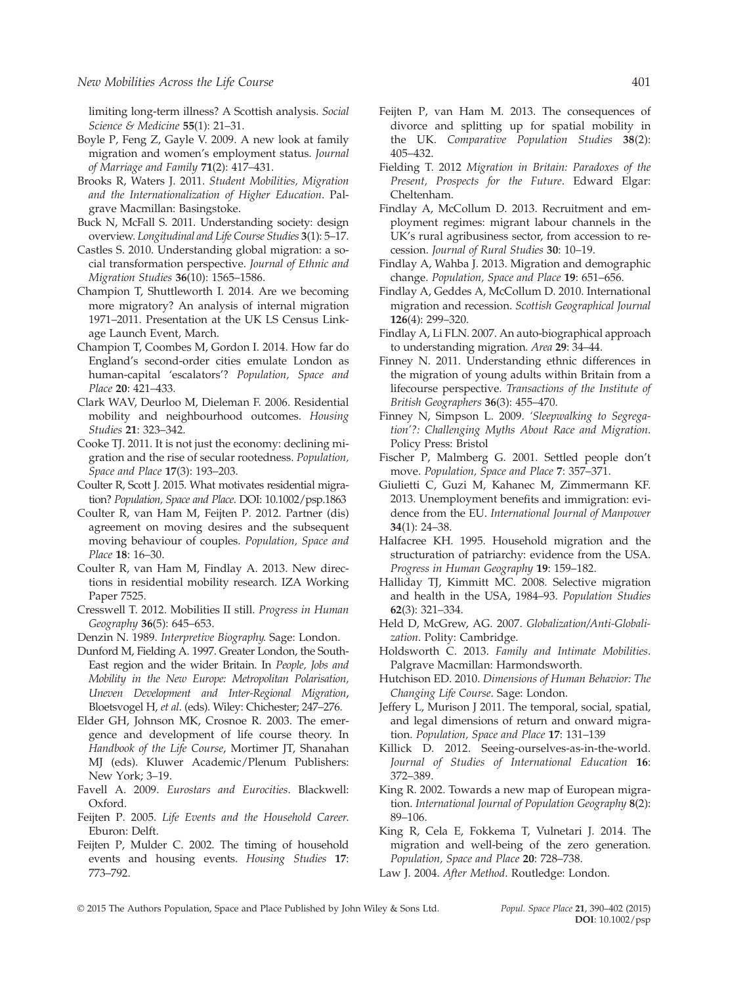limiting long-term illness? A Scottish analysis. Social Science & Medicine 55(1): 21–31.

- Boyle P, Feng Z, Gayle V. 2009. A new look at family migration and women's employment status. Journal of Marriage and Family 71(2): 417–431.
- Brooks R, Waters J. 2011. Student Mobilities, Migration and the Internationalization of Higher Education. Palgrave Macmillan: Basingstoke.
- Buck N, McFall S. 2011. Understanding society: design overview. Longitudinal and Life Course Studies 3(1): 5–17.
- Castles S. 2010. Understanding global migration: a social transformation perspective. Journal of Ethnic and Migration Studies 36(10): 1565–1586.
- Champion T, Shuttleworth I. 2014. Are we becoming more migratory? An analysis of internal migration 1971–2011. Presentation at the UK LS Census Linkage Launch Event, March.
- Champion T, Coombes M, Gordon I. 2014. How far do England's second-order cities emulate London as human-capital 'escalators'? Population, Space and Place 20: 421–433.
- Clark WAV, Deurloo M, Dieleman F. 2006. Residential mobility and neighbourhood outcomes. Housing Studies 21: 323–342.
- Cooke TJ. 2011. It is not just the economy: declining migration and the rise of secular rootedness. Population, Space and Place 17(3): 193-203.
- Coulter R, Scott J. 2015. What motivates residential migration? Population, Space and Place. DOI: 10.1002/psp.1863
- Coulter R, van Ham M, Feijten P. 2012. Partner (dis) agreement on moving desires and the subsequent moving behaviour of couples. Population, Space and Place 18: 16–30.
- Coulter R, van Ham M, Findlay A. 2013. New directions in residential mobility research. IZA Working Paper 7525.
- Cresswell T. 2012. Mobilities II still. Progress in Human Geography 36(5): 645–653.
- Denzin N. 1989. Interpretive Biography. Sage: London.
- Dunford M, Fielding A. 1997. Greater London, the South-East region and the wider Britain. In People, Jobs and Mobility in the New Europe: Metropolitan Polarisation, Uneven Development and Inter-Regional Migration, Bloetsvogel H, et al. (eds). Wiley: Chichester; 247–276.
- Elder GH, Johnson MK, Crosnoe R. 2003. The emergence and development of life course theory. In Handbook of the Life Course, Mortimer JT, Shanahan MJ (eds). Kluwer Academic/Plenum Publishers: New York; 3–19.
- Favell A. 2009. Eurostars and Eurocities. Blackwell: Oxford.
- Feijten P. 2005. Life Events and the Household Career. Eburon: Delft.
- Feijten P, Mulder C. 2002. The timing of household events and housing events. Housing Studies 17: 773–792.
- Feijten P, van Ham M. 2013. The consequences of divorce and splitting up for spatial mobility in the UK. Comparative Population Studies 38(2): 405–432.
- Fielding T. 2012 Migration in Britain: Paradoxes of the Present, Prospects for the Future. Edward Elgar: Cheltenham.
- Findlay A, McCollum D. 2013. Recruitment and employment regimes: migrant labour channels in the UK's rural agribusiness sector, from accession to recession. Journal of Rural Studies 30: 10–19.
- Findlay A, Wahba J. 2013. Migration and demographic change. Population, Space and Place 19: 651–656.
- Findlay A, Geddes A, McCollum D. 2010. International migration and recession. Scottish Geographical Journal 126(4): 299–320.
- Findlay A, Li FLN. 2007. An auto-biographical approach to understanding migration. Area 29: 34–44.
- Finney N. 2011. Understanding ethnic differences in the migration of young adults within Britain from a lifecourse perspective. Transactions of the Institute of British Geographers 36(3): 455–470.
- Finney N, Simpson L. 2009. 'Sleepwalking to Segregation'?: Challenging Myths About Race and Migration. Policy Press: Bristol
- Fischer P, Malmberg G. 2001. Settled people don't move. Population, Space and Place 7: 357–371.
- Giulietti C, Guzi M, Kahanec M, Zimmermann KF. 2013. Unemployment benefits and immigration: evidence from the EU. International Journal of Manpower 34(1): 24–38.
- Halfacree KH. 1995. Household migration and the structuration of patriarchy: evidence from the USA. Progress in Human Geography 19: 159–182.
- Halliday TJ, Kimmitt MC. 2008. Selective migration and health in the USA, 1984–93. Population Studies 62(3): 321–334.
- Held D, McGrew, AG. 2007. Globalization/Anti-Globalization. Polity: Cambridge.
- Holdsworth C. 2013. Family and Intimate Mobilities. Palgrave Macmillan: Harmondsworth.
- Hutchison ED. 2010. Dimensions of Human Behavior: The Changing Life Course. Sage: London.
- Jeffery L, Murison J 2011. The temporal, social, spatial, and legal dimensions of return and onward migration. Population, Space and Place 17: 131–139
- Killick D. 2012. Seeing-ourselves-as-in-the-world. Journal of Studies of International Education 16: 372–389.
- King R. 2002. Towards a new map of European migration. International Journal of Population Geography 8(2): 89–106.
- King R, Cela E, Fokkema T, Vulnetari J. 2014. The migration and well-being of the zero generation. Population, Space and Place 20: 728–738.
- Law J. 2004. After Method. Routledge: London.